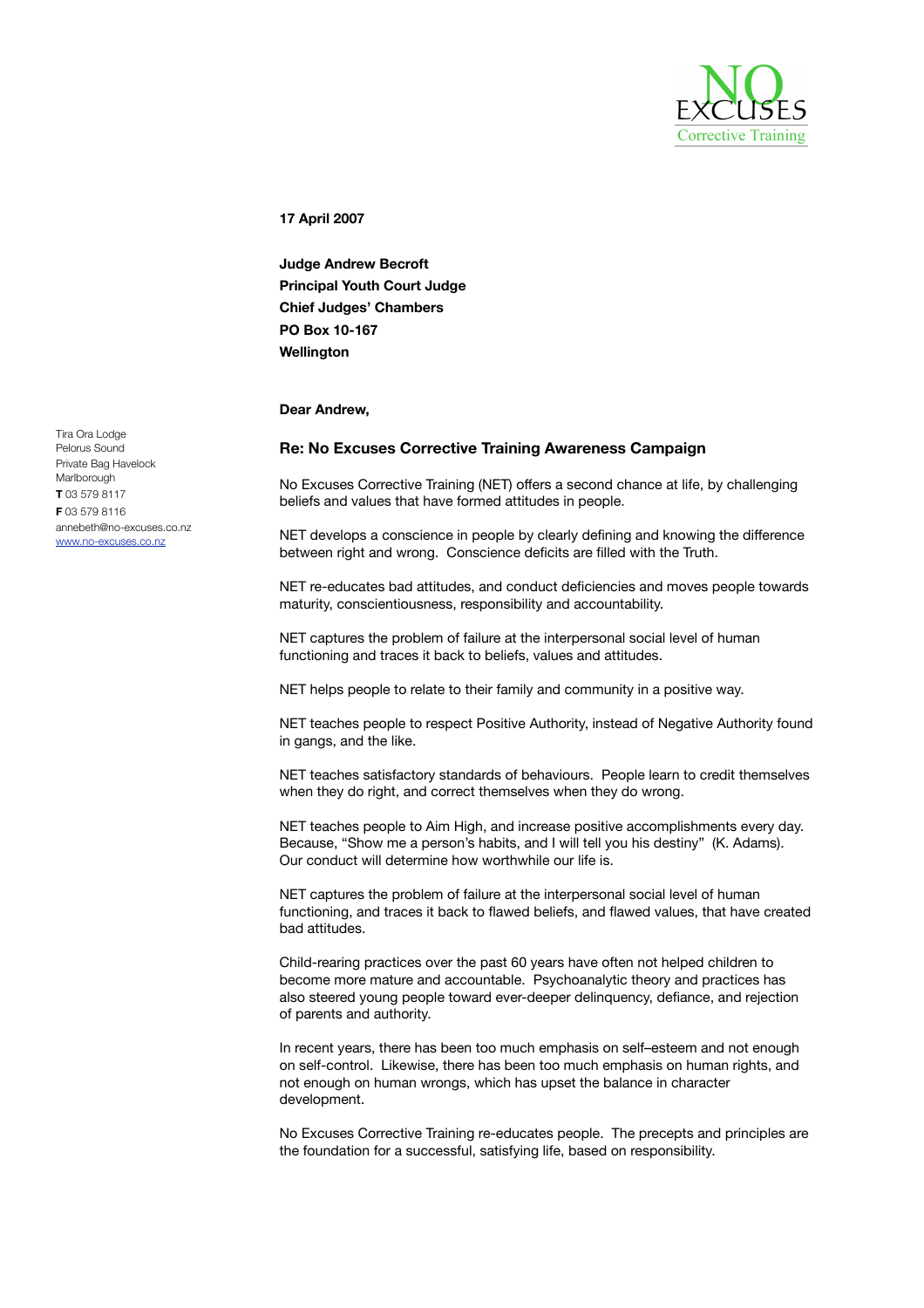

**17 April 2007**

**Judge Andrew Becroft Principal Youth Court Judge Chief Judges' Chambers PO Box 10-167 Wellington**

## **Dear Andrew,**

## **Re: No Excuses Corrective Training Awareness Campaign**

No Excuses Corrective Training (NET) offers a second chance at life, by challenging beliefs and values that have formed attitudes in people.

NET develops a conscience in people by clearly defining and knowing the difference between right and wrong. Conscience deficits are filled with the Truth.

NET re-educates bad attitudes, and conduct deficiencies and moves people towards maturity, conscientiousness, responsibility and accountability.

NET captures the problem of failure at the interpersonal social level of human functioning and traces it back to beliefs, values and attitudes.

NET helps people to relate to their family and community in a positive way.

NET teaches people to respect Positive Authority, instead of Negative Authority found in gangs, and the like.

NET teaches satisfactory standards of behaviours. People learn to credit themselves when they do right, and correct themselves when they do wrong.

NET teaches people to Aim High, and increase positive accomplishments every day. Because, "Show me a person's habits, and I will tell you his destiny" (K. Adams). Our conduct will determine how worthwhile our life is.

NET captures the problem of failure at the interpersonal social level of human functioning, and traces it back to flawed beliefs, and flawed values, that have created bad attitudes.

Child-rearing practices over the past 60 years have often not helped children to become more mature and accountable. Psychoanalytic theory and practices has also steered young people toward ever-deeper delinquency, defiance, and rejection of parents and authority.

In recent years, there has been too much emphasis on self–esteem and not enough on self-control. Likewise, there has been too much emphasis on human rights, and not enough on human wrongs, which has upset the balance in character development.

No Excuses Corrective Training re-educates people. The precepts and principles are the foundation for a successful, satisfying life, based on responsibility.

Tira Ora Lodge Pelorus Sound Private Bag Havelock **Marlborough T** 03 579 8117 **F** 03 579 8116 annebeth@no-excuses.co.nz www.no-excuses.co.nz